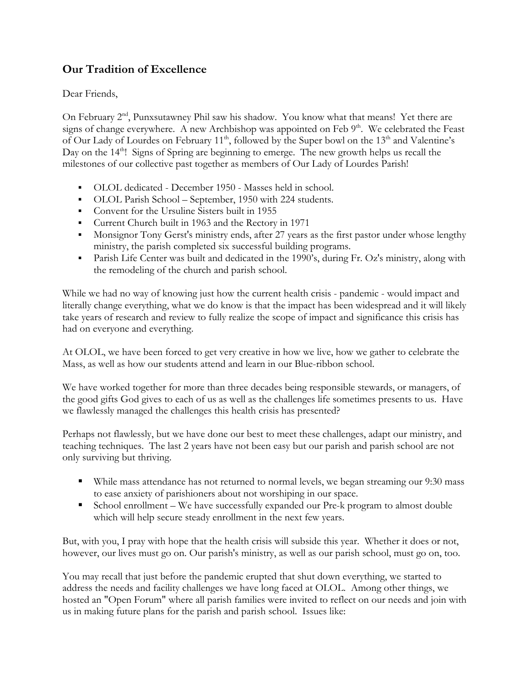## **Our Tradition of Excellence**

Dear Friends,

On February 2<sup>nd</sup>, Punxsutawney Phil saw his shadow. You know what that means! Yet there are signs of change everywhere. A new Archbishop was appointed on Feb  $9<sup>th</sup>$ . We celebrated the Feast of Our Lady of Lourdes on February 11<sup>th</sup>, followed by the Super bowl on the 13<sup>th</sup> and Valentine's Day on the 14<sup>th</sup>! Signs of Spring are beginning to emerge. The new growth helps us recall the milestones of our collective past together as members of Our Lady of Lourdes Parish!

- OLOL dedicated December 1950 Masses held in school.
- OLOL Parish School September, 1950 with 224 students.
- § Convent for the Ursuline Sisters built in 1955
- Current Church built in 1963 and the Rectory in 1971
- Monsignor Tony Gerst's ministry ends, after 27 years as the first pastor under whose lengthy ministry, the parish completed six successful building programs.
- Parish Life Center was built and dedicated in the 1990's, during Fr. Oz's ministry, along with the remodeling of the church and parish school.

While we had no way of knowing just how the current health crisis - pandemic - would impact and literally change everything, what we do know is that the impact has been widespread and it will likely take years of research and review to fully realize the scope of impact and significance this crisis has had on everyone and everything.

At OLOL, we have been forced to get very creative in how we live, how we gather to celebrate the Mass, as well as how our students attend and learn in our Blue-ribbon school.

We have worked together for more than three decades being responsible stewards, or managers, of the good gifts God gives to each of us as well as the challenges life sometimes presents to us. Have we flawlessly managed the challenges this health crisis has presented?

Perhaps not flawlessly, but we have done our best to meet these challenges, adapt our ministry, and teaching techniques. The last 2 years have not been easy but our parish and parish school are not only surviving but thriving.

- While mass attendance has not returned to normal levels, we began streaming our 9:30 mass to ease anxiety of parishioners about not worshiping in our space.
- School enrollment We have successfully expanded our Pre-k program to almost double which will help secure steady enrollment in the next few years.

But, with you, I pray with hope that the health crisis will subside this year. Whether it does or not, however, our lives must go on. Our parish's ministry, as well as our parish school, must go on, too.

You may recall that just before the pandemic erupted that shut down everything, we started to address the needs and facility challenges we have long faced at OLOL. Among other things, we hosted an "Open Forum" where all parish families were invited to reflect on our needs and join with us in making future plans for the parish and parish school. Issues like: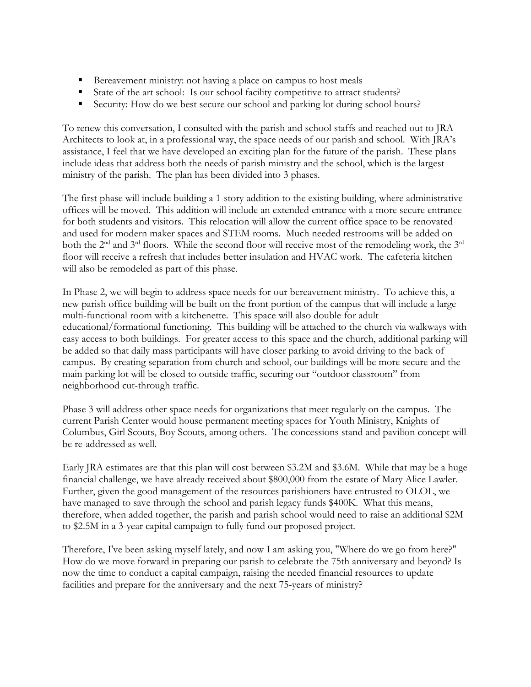- Bereavement ministry: not having a place on campus to host meals
- State of the art school: Is our school facility competitive to attract students?
- Security: How do we best secure our school and parking lot during school hours?

To renew this conversation, I consulted with the parish and school staffs and reached out to JRA Architects to look at, in a professional way, the space needs of our parish and school. With JRA's assistance, I feel that we have developed an exciting plan for the future of the parish. These plans include ideas that address both the needs of parish ministry and the school, which is the largest ministry of the parish. The plan has been divided into 3 phases.

The first phase will include building a 1-story addition to the existing building, where administrative offices will be moved. This addition will include an extended entrance with a more secure entrance for both students and visitors. This relocation will allow the current office space to be renovated and used for modern maker spaces and STEM rooms. Much needed restrooms will be added on both the 2<sup>nd</sup> and 3<sup>rd</sup> floors. While the second floor will receive most of the remodeling work, the 3<sup>rd</sup> floor will receive a refresh that includes better insulation and HVAC work. The cafeteria kitchen will also be remodeled as part of this phase.

In Phase 2, we will begin to address space needs for our bereavement ministry. To achieve this, a new parish office building will be built on the front portion of the campus that will include a large multi-functional room with a kitchenette. This space will also double for adult educational/formational functioning. This building will be attached to the church via walkways with easy access to both buildings. For greater access to this space and the church, additional parking will be added so that daily mass participants will have closer parking to avoid driving to the back of campus. By creating separation from church and school, our buildings will be more secure and the main parking lot will be closed to outside traffic, securing our "outdoor classroom" from neighborhood cut-through traffic.

Phase 3 will address other space needs for organizations that meet regularly on the campus. The current Parish Center would house permanent meeting spaces for Youth Ministry, Knights of Columbus, Girl Scouts, Boy Scouts, among others. The concessions stand and pavilion concept will be re-addressed as well.

Early JRA estimates are that this plan will cost between \$3.2M and \$3.6M. While that may be a huge financial challenge, we have already received about \$800,000 from the estate of Mary Alice Lawler. Further, given the good management of the resources parishioners have entrusted to OLOL, we have managed to save through the school and parish legacy funds \$400K. What this means, therefore, when added together, the parish and parish school would need to raise an additional \$2M to \$2.5M in a 3-year capital campaign to fully fund our proposed project.

Therefore, I've been asking myself lately, and now I am asking you, "Where do we go from here?" How do we move forward in preparing our parish to celebrate the 75th anniversary and beyond? Is now the time to conduct a capital campaign, raising the needed financial resources to update facilities and prepare for the anniversary and the next 75-years of ministry?